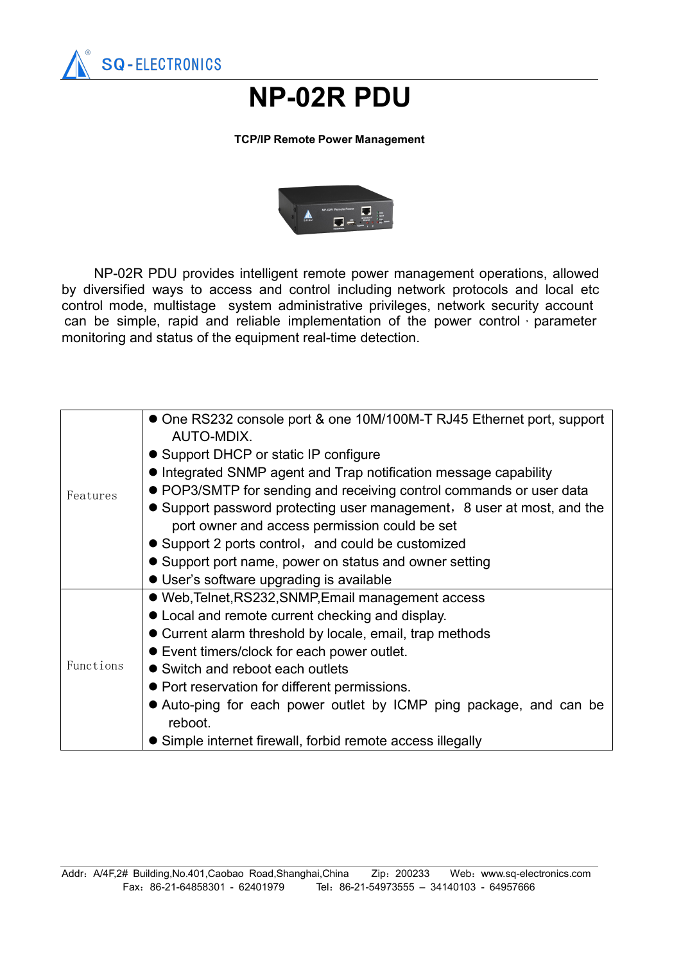

## **NP-02R PDU**

## **TCP/IP Remote Power Management**



NP-02R PDU provides intelligent remote power management operations, allowed by diversified ways to access and control including network protocols and local etc control mode, multistage system administrative privileges, network security account can be simple, rapid and reliable implementation of the power control, parameter monitoring and status of the equipment real-time detection.

| Features  | • One RS232 console port & one 10M/100M-T RJ45 Ethernet port, support<br>AUTO-MDIX. |
|-----------|-------------------------------------------------------------------------------------|
|           | • Support DHCP or static IP configure                                               |
|           | • Integrated SNMP agent and Trap notification message capability                    |
|           | • POP3/SMTP for sending and receiving control commands or user data                 |
|           | • Support password protecting user management, 8 user at most, and the              |
|           | port owner and access permission could be set                                       |
|           | • Support 2 ports control, and could be customized                                  |
|           | • Support port name, power on status and owner setting                              |
|           | • User's software upgrading is available                                            |
| Functions | • Web, Telnet, RS232, SNMP, Email management access                                 |
|           | • Local and remote current checking and display.                                    |
|           | • Current alarm threshold by locale, email, trap methods                            |
|           | • Event timers/clock for each power outlet.                                         |
|           | • Switch and reboot each outlets                                                    |
|           | • Port reservation for different permissions.                                       |
|           | • Auto-ping for each power outlet by ICMP ping package, and can be                  |
|           | reboot.                                                                             |
|           | • Simple internet firewall, forbid remote access illegally                          |